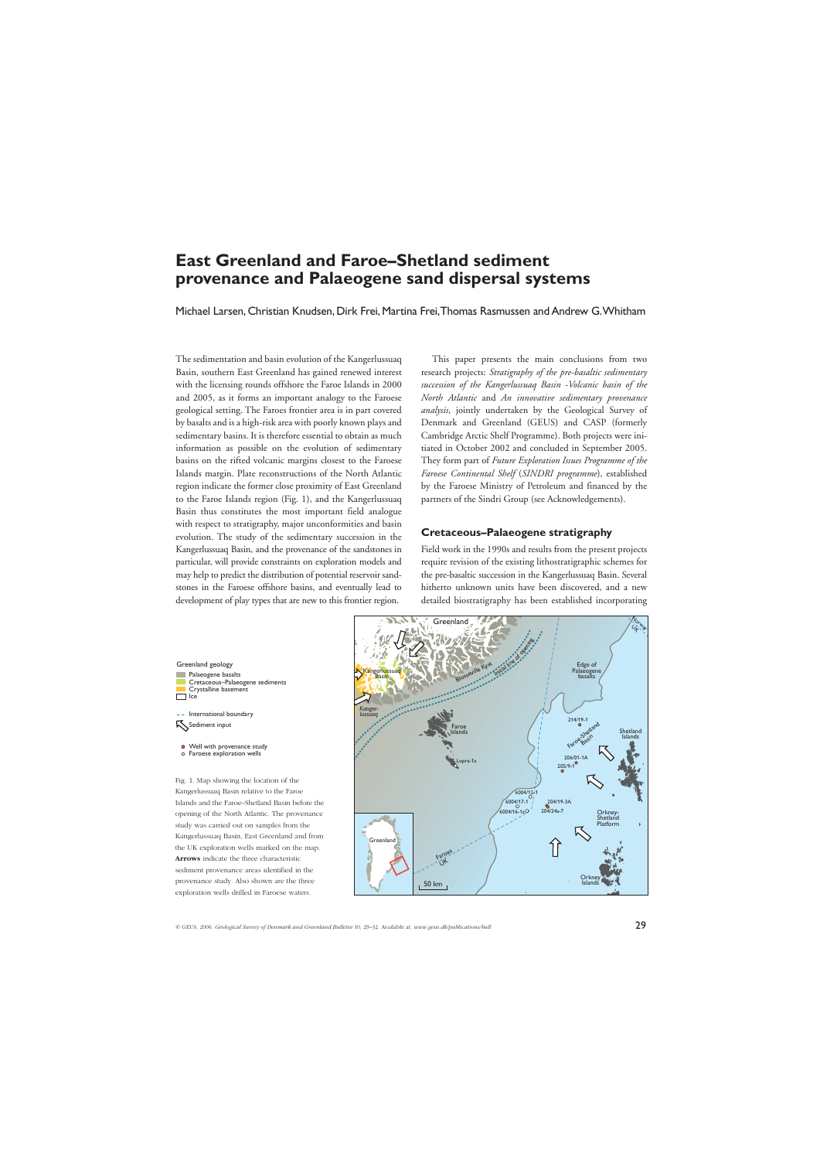# **East Greenland and Faroe–Shetland sediment provenance and Palaeogene sand dispersal systems**

Michael Larsen, Christian Knudsen, Dirk Frei, Martina Frei,Thomas Rasmussen and Andrew G.Whitham

The sedimentation and basin evolution of the Kangerlussuaq Basin, southern East Greenland has gained renewed interest with the licensing rounds offshore the Faroe Islands in 2000 and 2005, as it forms an important analogy to the Faroese geological setting. The Faroes frontier area is in part covered by basalts and is a high-risk area with poorly known plays and sedimentary basins. It is therefore essential to obtain as much information as possible on the evolution of sedimentary basins on the rifted volcanic margins closest to the Faroese Islands margin. Plate reconstructions of the North Atlantic region indicate the former close proximity of East Greenland to the Faroe Islands region (Fig. 1), and the Kangerlussuaq Basin thus constitutes the most important field analogue with respect to stratigraphy, major unconformities and basin evolution. The study of the sedimentary succession in the Kangerlussuaq Basin, and the provenance of the sandstones in particular, will provide constraints on exploration models and may help to predict the distribution of potential reservoir sandstones in the Faroese offshore basins, and eventually lead to development of play types that are new to this frontier region.

This paper presents the main conclusions from two research projects: *Stratigraphy of the pre-basaltic sedimentary succession of the Kangerlussuaq Basin -Volcanic basin of the North Atlantic* and *An innovative sedimentary provenance analysis*, jointly undertaken by the Geological Survey of Denmark and Greenland (GEUS) and CASP (formerly Cambridge Arctic Shelf Programme). Both projects were initiated in October 2002 and concluded in September 2005. They form part of *Future Exploration Issues Programme of the Faroese Continental Shelf* (*SINDRI programme*), established by the Faroese Ministry of Petroleum and financed by the partners of the Sindri Group (see Acknowledgements).

### **Cretaceous–Palaeogene stratigraphy**

Field work in the 1990s and results from the present projects require revision of the existing lithostratigraphic schemes for the pre-basaltic succession in the Kangerlussuaq Basin. Several hitherto unknown units have been discovered, and a new detailed biostratigraphy has been established incorporating

#### Greenland geology



- --- International boundary Sediment input
- Well with provenance study Faroese exploration wells

Fig. 1. Map showing the location of the Kangerlussuaq Basin relative to the Faroe Islands and the Faroe–Shetland Basin before the opening of the North Atlantic. The provenance study was carried out on samples from the Kangerlussuaq Basin, East Greenland and from the UK exploration wells marked on the map. **Arrows** indicate the three characteristic sediment provenance areas identified in the provenance study. Also shown are the three exploration wells drilled in Faroese waters.

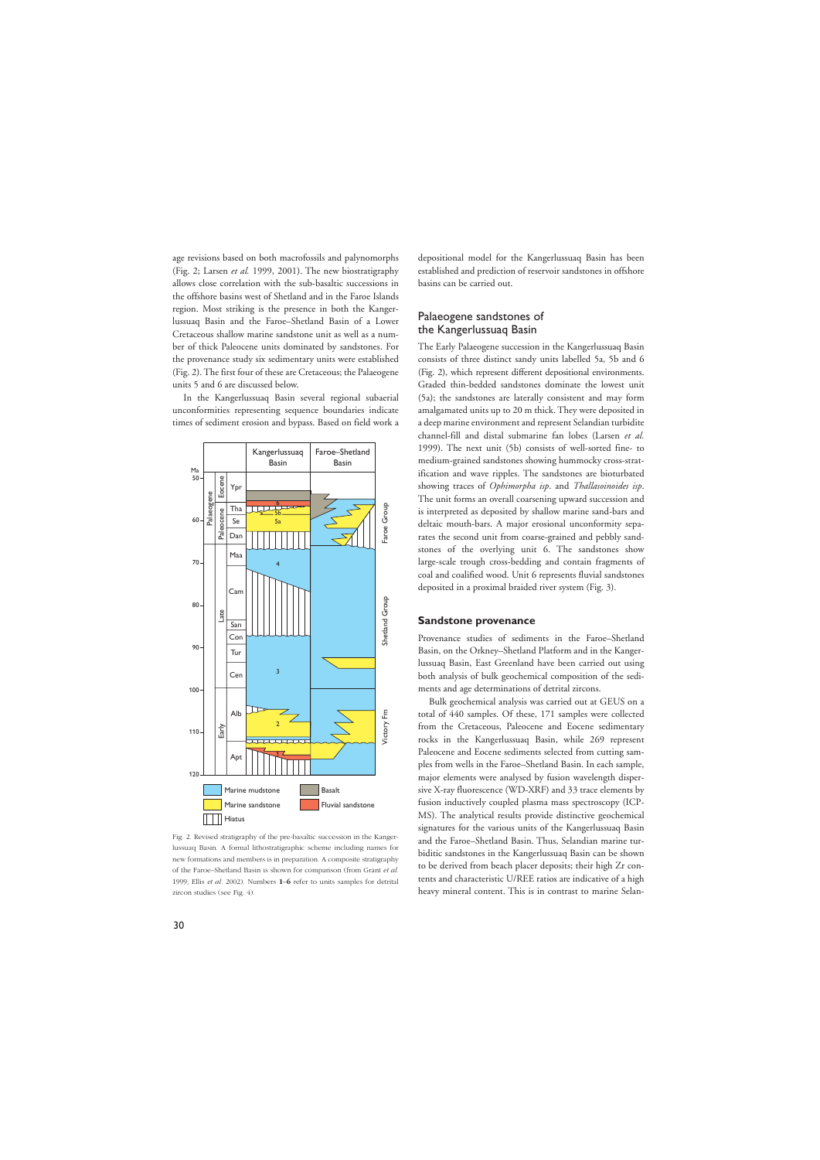age revisions based on both macrofossils and palynomorphs (Fig. 2; Larsen *et al.* 1999, 2001). The new biostratigraphy allows close correlation with the sub-basaltic successions in the offshore basins west of Shetland and in the Faroe Islands region. Most striking is the presence in both the Kangerlussuaq Basin and the Faroe–Shetland Basin of a Lower Cretaceous shallow marine sandstone unit as well as a number of thick Paleocene units dominated by sandstones. For the provenance study six sedimentary units were established (Fig. 2). The first four of these are Cretaceous; the Palaeogene units 5 and 6 are discussed below.

In the Kangerlussuaq Basin several regional subaerial unconformities representing sequence boundaries indicate times of sediment erosion and bypass. Based on field work a



Fig. 2. Revised stratigraphy of the pre-basaltic succession in the Kangerlussuaq Basin. A formal lithostratigraphic scheme including names for new formations and members is in preparation. A composite stratigraphy of the Faroe–Shetland Basin is shown for comparison (from Grant *et al*. 1999; Ellis *et al*. 2002). Numbers **1**–**6** refer to units samples for detrital zircon studies (see Fig. 4).

depositional model for the Kangerlussuaq Basin has been established and prediction of reservoir sandstones in offshore basins can be carried out.

# Palaeogene sandstones of the Kangerlussuaq Basin

The Early Palaeogene succession in the Kangerlussuaq Basin consists of three distinct sandy units labelled 5a, 5b and 6 (Fig. 2), which represent different depositional environments. Graded thin-bedded sandstones dominate the lowest unit (5a); the sandstones are laterally consistent and may form amalgamated units up to 20 m thick. They were deposited in a deep marine environment and represent Selandian turbidite channel-fill and distal submarine fan lobes (Larsen *et al.* 1999). The next unit (5b) consists of well-sorted fine- to medium-grained sandstones showing hummocky cross-stratification and wave ripples. The sandstones are bioturbated showing traces of *Ophimorpha isp*. and *Thallasoinoides isp*. The unit forms an overall coarsening upward succession and is interpreted as deposited by shallow marine sand-bars and deltaic mouth-bars. A major erosional unconformity separates the second unit from coarse-grained and pebbly sandstones of the overlying unit 6. The sandstones show large-scale trough cross-bedding and contain fragments of coal and coalified wood. Unit 6 represents fluvial sandstones deposited in a proximal braided river system (Fig. 3).

#### **Sandstone provenance**

Provenance studies of sediments in the Faroe–Shetland Basin, on the Orkney–Shetland Platform and in the Kangerlussuaq Basin, East Greenland have been carried out using both analysis of bulk geochemical composition of the sediments and age determinations of detrital zircons.

Bulk geochemical analysis was carried out at GEUS on a total of 440 samples. Of these, 171 samples were collected from the Cretaceous, Paleocene and Eocene sedimentary rocks in the Kangerlussuaq Basin, while 269 represent Paleocene and Eocene sediments selected from cutting samples from wells in the Faroe–Shetland Basin. In each sample, major elements were analysed by fusion wavelength dispersive X-ray fluorescence (WD-XRF) and 33 trace elements by fusion inductively coupled plasma mass spectroscopy (ICP-MS). The analytical results provide distinctive geochemical signatures for the various units of the Kangerlussuaq Basin and the Faroe–Shetland Basin. Thus, Selandian marine turbiditic sandstones in the Kangerlussuaq Basin can be shown to be derived from beach placer deposits; their high Zr contents and characteristic U/REE ratios are indicative of a high heavy mineral content. This is in contrast to marine Selan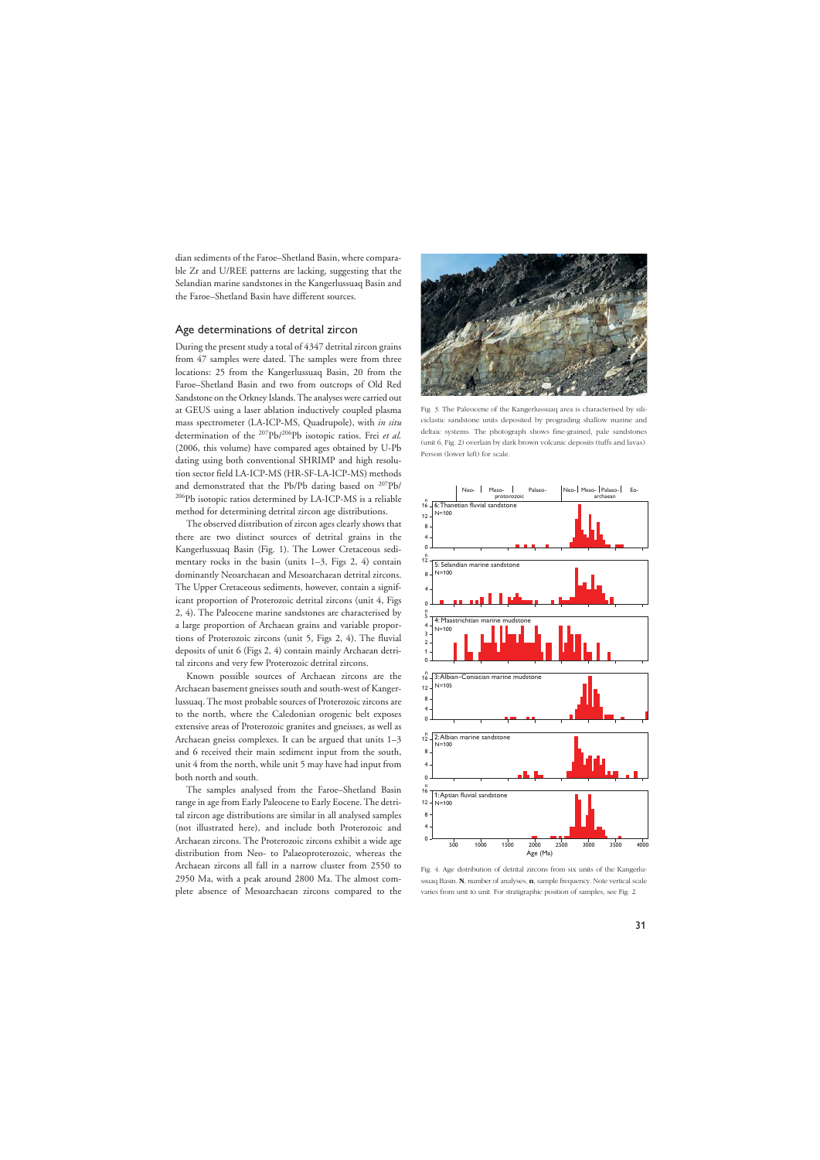dian sediments of the Faroe–Shetland Basin, where comparable Zr and U/REE patterns are lacking, suggesting that the Selandian marine sandstones in the Kangerlussuaq Basin and the Faroe–Shetland Basin have different sources.

# Age determinations of detrital zircon

During the present study a total of 4347 detrital zircon grains from 47 samples were dated. The samples were from three locations: 25 from the Kangerlussuaq Basin, 20 from the Faroe–Shetland Basin and two from outcrops of Old Red Sandstone on the Orkney Islands. The analyses were carried out at GEUS using a laser ablation inductively coupled plasma mass spectrometer (LA-ICP-MS, Quadrupole), with *in situ* determination of the 207Pb/206Pb isotopic ratios. Frei *et al.* (2006, this volume) have compared ages obtained by U-Pb dating using both conventional SHRIMP and high resolution sector field LA-ICP-MS (HR-SF-LA-ICP-MS) methods and demonstrated that the Pb/Pb dating based on 207Pb/ 206Pb isotopic ratios determined by LA-ICP-MS is a reliable method for determining detrital zircon age distributions.

The observed distribution of zircon ages clearly shows that there are two distinct sources of detrital grains in the Kangerlussuaq Basin (Fig. 1). The Lower Cretaceous sedimentary rocks in the basin (units 1–3, Figs 2, 4) contain dominantly Neoarchaean and Mesoarchaean detrital zircons. The Upper Cretaceous sediments, however, contain a significant proportion of Proterozoic detrital zircons (unit 4, Figs 2, 4). The Paleocene marine sandstones are characterised by a large proportion of Archaean grains and variable proportions of Proterozoic zircons (unit 5, Figs 2, 4). The fluvial deposits of unit 6 (Figs 2, 4) contain mainly Archaean detrital zircons and very few Proterozoic detrital zircons.

Known possible sources of Archaean zircons are the Archaean basement gneisses south and south-west of Kangerlussuaq. The most probable sources of Proterozoic zircons are to the north, where the Caledonian orogenic belt exposes extensive areas of Proterozoic granites and gneisses, as well as Archaean gneiss complexes. It can be argued that units 1–3 and 6 received their main sediment input from the south, unit 4 from the north, while unit 5 may have had input from both north and south.

The samples analysed from the Faroe–Shetland Basin range in age from Early Paleocene to Early Eocene. The detrital zircon age distributions are similar in all analysed samples (not illustrated here), and include both Proterozoic and Archaean zircons. The Proterozoic zircons exhibit a wide age distribution from Neo- to Palaeoproterozoic, whereas the Archaean zircons all fall in a narrow cluster from 2550 to 2950 Ma, with a peak around 2800 Ma. The almost complete absence of Mesoarchaean zircons compared to the



Fig. 3. The Paleocene of the Kangerlussuaq area is characterised by siliciclastic sandstone units deposited by prograding shallow marine and deltaic systems. The photograph shows fine-grained, pale sandstones (unit 6, Fig. 2) overlain by dark brown volcanic deposits (tuffs and lavas). Person (lower left) for scale.



Fig. 4. Age distribution of detrital zircons from six units of the Kangerlussuaq Basin. **N**, number of analyses; **n**, sample frequency. Note vertical scale varies from unit to unit. For stratigraphic position of samples, see Fig. 2.